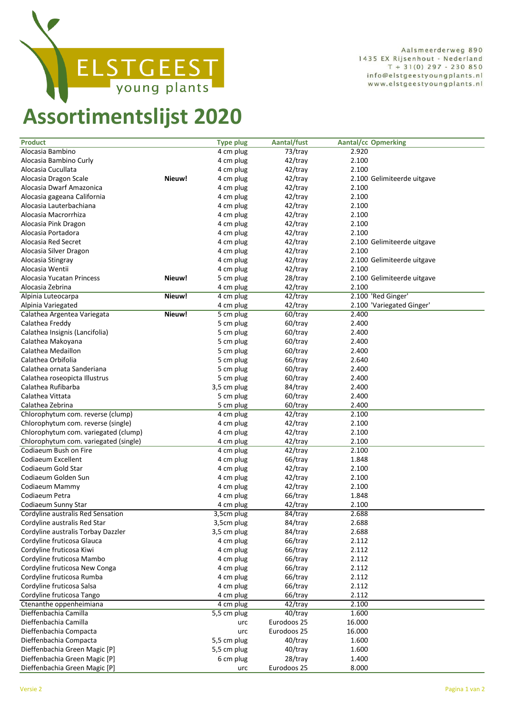

Aalsmeerderweg 890 1435 EX Rijsenhout - Nederland  $T + 31(0)$  297 - 230 850 info@elstgeestyoungplants.nl www.elstgeestyoungplants.nl

## **Assortimentslijst 2020**

| <b>Product</b>                        |        | <b>Type plug</b> | Aantal/fust | <b>Aantal/cc Opmerking</b> |
|---------------------------------------|--------|------------------|-------------|----------------------------|
| Alocasia Bambino                      |        | 4 cm plug        | 73/tray     | 2.920                      |
| Alocasia Bambino Curly                |        | 4 cm plug        | 42/tray     | 2.100                      |
| Alocasia Cucullata                    |        | 4 cm plug        | 42/tray     | 2.100                      |
| Alocasia Dragon Scale                 | Nieuw! | 4 cm plug        | 42/tray     | 2.100 Gelimiteerde uitgave |
| Alocasia Dwarf Amazonica              |        | 4 cm plug        | 42/tray     | 2.100                      |
| Alocasia gageana California           |        | 4 cm plug        | 42/tray     | 2.100                      |
| Alocasia Lauterbachiana               |        | 4 cm plug        | 42/tray     | 2.100                      |
| Alocasia Macrorrhiza                  |        | 4 cm plug        | 42/tray     | 2.100                      |
| Alocasia Pink Dragon                  |        | 4 cm plug        | 42/tray     | 2.100                      |
| Alocasia Portadora                    |        | 4 cm plug        | 42/tray     | 2.100                      |
| Alocasia Red Secret                   |        | 4 cm plug        | 42/tray     | 2.100 Gelimiteerde uitgave |
| Alocasia Silver Dragon                |        | 4 cm plug        | 42/tray     | 2.100                      |
| Alocasia Stingray                     |        | 4 cm plug        | 42/tray     | 2.100 Gelimiteerde uitgave |
| Alocasia Wentii                       |        | 4 cm plug        | 42/tray     | 2.100                      |
|                                       | Nieuw! |                  |             |                            |
| Alocasia Yucatan Princess             |        | 5 cm plug        | 28/tray     | 2.100 Gelimiteerde uitgave |
| Alocasia Zebrina                      |        | 4 cm plug        | 42/tray     | 2.100                      |
| Alpinia Luteocarpa                    | Nieuw! | 4 cm plug        | 42/tray     | 2.100 'Red Ginger'         |
| Alpinia Variegated                    |        | 4 cm plug        | 42/tray     | 2.100 'Variegated Ginger'  |
| Calathea Argentea Variegata           | Nieuw! | 5 cm plug        | 60/tray     | 2.400                      |
| Calathea Freddy                       |        | 5 cm plug        | 60/tray     | 2.400                      |
| Calathea Insignis (Lancifolia)        |        | 5 cm plug        | 60/tray     | 2.400                      |
| Calathea Makoyana                     |        | 5 cm plug        | 60/tray     | 2.400                      |
| Calathea Medaillon                    |        | 5 cm plug        | 60/tray     | 2.400                      |
| Calathea Orbifolia                    |        | 5 cm plug        | 66/tray     | 2.640                      |
| Calathea ornata Sanderiana            |        | 5 cm plug        | 60/tray     | 2.400                      |
| Calathea roseopicta Illustrus         |        | 5 cm plug        | 60/tray     | 2.400                      |
| Calathea Rufibarba                    |        | 3,5 cm plug      | 84/tray     | 2.400                      |
| Calathea Vittata                      |        | 5 cm plug        | 60/tray     | 2.400                      |
| Calathea Zebrina                      |        | 5 cm plug        | 60/tray     | 2.400                      |
| Chlorophytum com. reverse (clump)     |        | 4 cm plug        | 42/tray     | 2.100                      |
| Chlorophytum com. reverse (single)    |        | 4 cm plug        | 42/tray     | 2.100                      |
| Chlorophytum com. variegated (clump)  |        | 4 cm plug        | 42/tray     | 2.100                      |
| Chlorophytum com. variegated (single) |        | 4 cm plug        | 42/tray     | 2.100                      |
| Codiaeum Bush on Fire                 |        | 4 cm plug        | 42/tray     | 2.100                      |
| Codiaeum Excellent                    |        | 4 cm plug        | 66/tray     | 1.848                      |
| Codiaeum Gold Star                    |        | 4 cm plug        | 42/tray     | 2.100                      |
| Codiaeum Golden Sun                   |        | 4 cm plug        | 42/tray     | 2.100                      |
| Codiaeum Mammy                        |        | 4 cm plug        | 42/tray     | 2.100                      |
| Codiaeum Petra                        |        | 4 cm plug        | 66/tray     | 1.848                      |
| Codiaeum Sunny Star                   |        | 4 cm plug        | 42/tray     | 2.100                      |
| Cordyline australis Red Sensation     |        | $3,5$ cm plug    | 84/tray     | 2.688                      |
| Cordyline australis Red Star          |        | 3,5cm plug       | 84/tray     | 2.688                      |
| Cordyline australis Torbay Dazzler    |        | 3,5 cm plug      | 84/tray     | 2.688                      |
| Cordyline fruticosa Glauca            |        | 4 cm plug        | 66/tray     | 2.112                      |
| Cordyline fruticosa Kiwi              |        | 4 cm plug        | 66/tray     | 2.112                      |
| Cordyline fruticosa Mambo             |        | 4 cm plug        | 66/tray     | 2.112                      |
| Cordyline fruticosa New Conga         |        | 4 cm plug        | 66/tray     | 2.112                      |
| Cordyline fruticosa Rumba             |        | 4 cm plug        | 66/tray     | 2.112                      |
| Cordyline fruticosa Salsa             |        | 4 cm plug        | 66/tray     | 2.112                      |
| Cordyline fruticosa Tango             |        | 4 cm plug        | 66/tray     | 2.112                      |
| Ctenanthe oppenheimiana               |        | 4 cm plug        | 42/tray     | 2.100                      |
| Dieffenbachia Camilla                 |        | 5,5 cm plug      | 40/tray     | 1.600                      |
| Dieffenbachia Camilla                 |        | urc              | Eurodoos 25 | 16.000                     |
| Dieffenbachia Compacta                |        | urc              | Eurodoos 25 | 16.000                     |
| Dieffenbachia Compacta                |        | 5,5 cm plug      | 40/tray     | 1.600                      |
| Dieffenbachia Green Magic [P]         |        | 5,5 cm plug      | 40/tray     | 1.600                      |
| Dieffenbachia Green Magic [P]         |        |                  | 28/tray     | 1.400                      |
|                                       |        | 6 cm plug        |             |                            |
| Dieffenbachia Green Magic [P]         |        | urc              | Eurodoos 25 | 8.000                      |